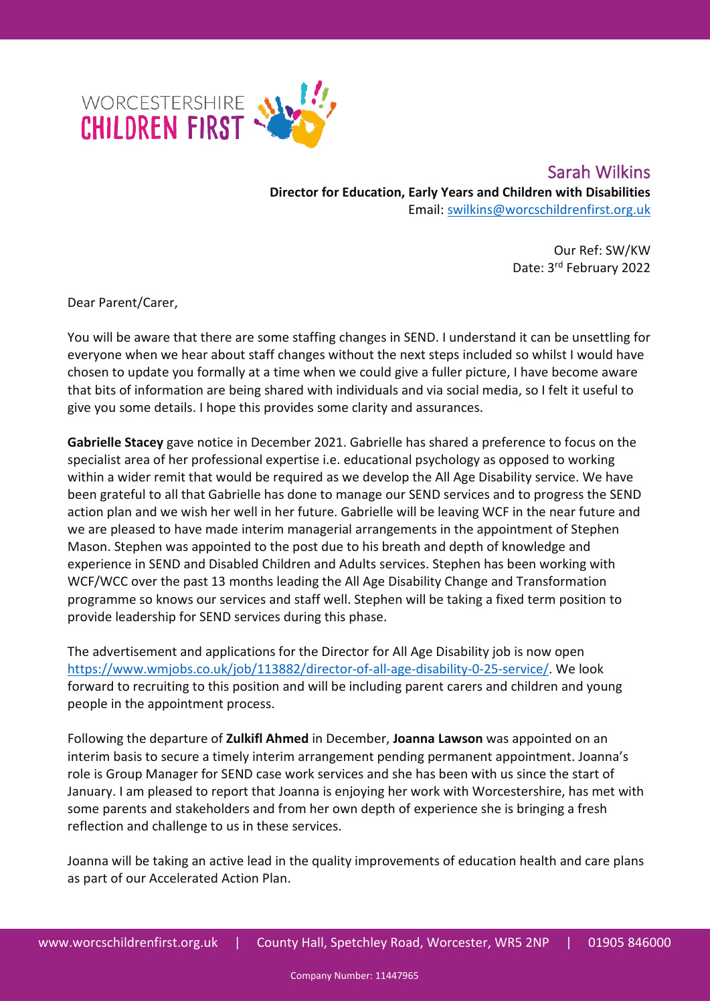

 Sarah Wilkins **Director for Education, Early Years and Children with Disabilities** Email: [swilkins@worcschildrenfirst.org.uk](mailto:swilkins@worcschildrenfirst.org.uk)

> Our Ref: SW/KW Date: 3rd February 2022

Dear Parent/Carer,

You will be aware that there are some staffing changes in SEND. I understand it can be unsettling for everyone when we hear about staff changes without the next steps included so whilst I would have chosen to update you formally at a time when we could give a fuller picture, I have become aware that bits of information are being shared with individuals and via social media, so I felt it useful to give you some details. I hope this provides some clarity and assurances.

**Gabrielle Stacey** gave notice in December 2021. Gabrielle has shared a preference to focus on the specialist area of her professional expertise i.e. educational psychology as opposed to working within a wider remit that would be required as we develop the All Age Disability service. We have been grateful to all that Gabrielle has done to manage our SEND services and to progress the SEND action plan and we wish her well in her future. Gabrielle will be leaving WCF in the near future and we are pleased to have made interim managerial arrangements in the appointment of Stephen Mason. Stephen was appointed to the post due to his breath and depth of knowledge and experience in SEND and Disabled Children and Adults services. Stephen has been working with WCF/WCC over the past 13 months leading the All Age Disability Change and Transformation programme so knows our services and staff well. Stephen will be taking a fixed term position to provide leadership for SEND services during this phase.

The advertisement and applications for the Director for All Age Disability job is now open [https://www.wmjobs.co.uk/job/113882/director-of-all-age-disability-0-25-service/.](https://www.wmjobs.co.uk/job/113882/director-of-all-age-disability-0-25-service/) We look forward to recruiting to this position and will be including parent carers and children and young people in the appointment process.

Following the departure of **Zulkifl Ahmed** in December, **Joanna Lawson** was appointed on an interim basis to secure a timely interim arrangement pending permanent appointment. Joanna's role is Group Manager for SEND case work services and she has been with us since the start of January. I am pleased to report that Joanna is enjoying her work with Worcestershire, has met with some parents and stakeholders and from her own depth of experience she is bringing a fresh reflection and challenge to us in these services.

Joanna will be taking an active lead in the quality improvements of education health and care plans as part of our Accelerated Action Plan.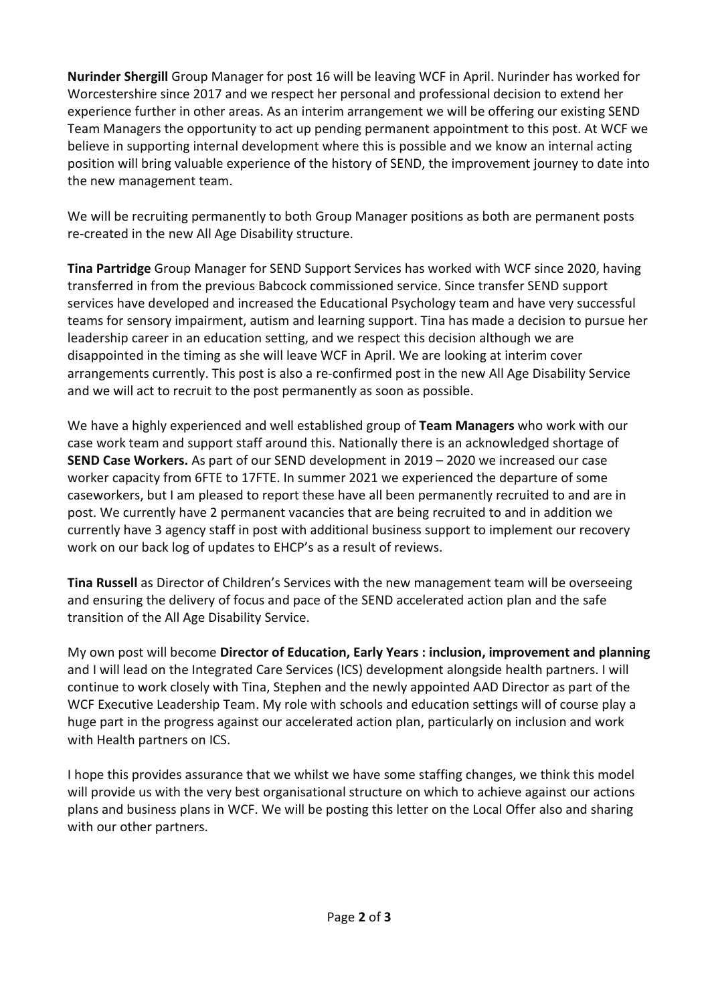**Nurinder Shergill** Group Manager for post 16 will be leaving WCF in April. Nurinder has worked for Worcestershire since 2017 and we respect her personal and professional decision to extend her experience further in other areas. As an interim arrangement we will be offering our existing SEND Team Managers the opportunity to act up pending permanent appointment to this post. At WCF we believe in supporting internal development where this is possible and we know an internal acting position will bring valuable experience of the history of SEND, the improvement journey to date into the new management team.

We will be recruiting permanently to both Group Manager positions as both are permanent posts re-created in the new All Age Disability structure.

**Tina Partridge** Group Manager for SEND Support Services has worked with WCF since 2020, having transferred in from the previous Babcock commissioned service. Since transfer SEND support services have developed and increased the Educational Psychology team and have very successful teams for sensory impairment, autism and learning support. Tina has made a decision to pursue her leadership career in an education setting, and we respect this decision although we are disappointed in the timing as she will leave WCF in April. We are looking at interim cover arrangements currently. This post is also a re-confirmed post in the new All Age Disability Service and we will act to recruit to the post permanently as soon as possible.

We have a highly experienced and well established group of **Team Managers** who work with our case work team and support staff around this. Nationally there is an acknowledged shortage of **SEND Case Workers.** As part of our SEND development in 2019 – 2020 we increased our case worker capacity from 6FTE to 17FTE. In summer 2021 we experienced the departure of some caseworkers, but I am pleased to report these have all been permanently recruited to and are in post. We currently have 2 permanent vacancies that are being recruited to and in addition we currently have 3 agency staff in post with additional business support to implement our recovery work on our back log of updates to EHCP's as a result of reviews.

**Tina Russell** as Director of Children's Services with the new management team will be overseeing and ensuring the delivery of focus and pace of the SEND accelerated action plan and the safe transition of the All Age Disability Service.

My own post will become **Director of Education, Early Years : inclusion, improvement and planning**  and I will lead on the Integrated Care Services (ICS) development alongside health partners. I will continue to work closely with Tina, Stephen and the newly appointed AAD Director as part of the WCF Executive Leadership Team. My role with schools and education settings will of course play a huge part in the progress against our accelerated action plan, particularly on inclusion and work with Health partners on ICS.

I hope this provides assurance that we whilst we have some staffing changes, we think this model will provide us with the very best organisational structure on which to achieve against our actions plans and business plans in WCF. We will be posting this letter on the Local Offer also and sharing with our other partners.